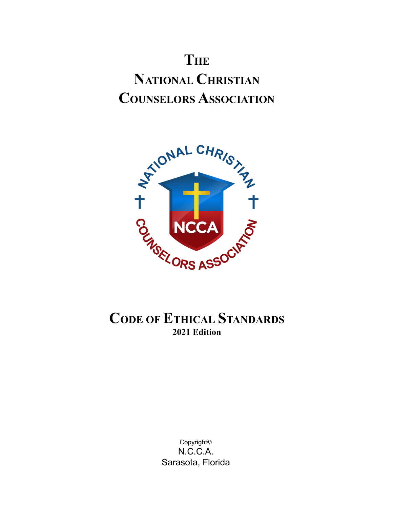# **THE NATIONAL CHRISTIAN COUNSELORS ASSOCIATION**



# **CODE OF ETHICAL STANDARDS 2021 Edition**

Copyright© N.C.C.A. Sarasota, Florida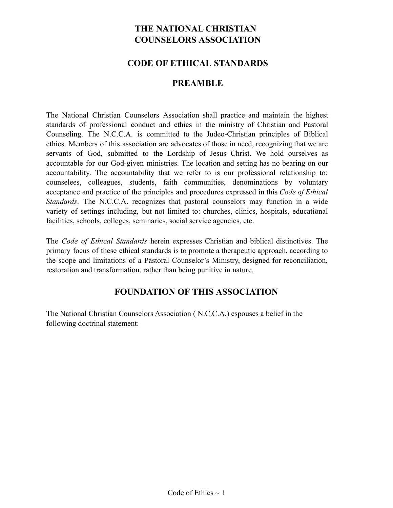# **THE NATIONAL CHRISTIAN COUNSELORS ASSOCIATION**

#### **CODE OF ETHICAL STANDARDS**

#### **PREAMBLE**

The National Christian Counselors Association shall practice and maintain the highest standards of professional conduct and ethics in the ministry of Christian and Pastoral Counseling. The N.C.C.A. is committed to the Judeo-Christian principles of Biblical ethics. Members of this association are advocates of those in need, recognizing that we are servants of God, submitted to the Lordship of Jesus Christ. We hold ourselves as accountable for our God-given ministries. The location and setting has no bearing on our accountability. The accountability that we refer to is our professional relationship to: counselees, colleagues, students, faith communities, denominations by voluntary acceptance and practice of the principles and procedures expressed in this *Code of Ethical Standards*. The N.C.C.A. recognizes that pastoral counselors may function in a wide variety of settings including, but not limited to: churches, clinics, hospitals, educational facilities, schools, colleges, seminaries, social service agencies, etc.

The *Code of Ethical Standards* herein expresses Christian and biblical distinctives. The primary focus of these ethical standards is to promote a therapeutic approach, according to the scope and limitations of a Pastoral Counselor's Ministry, designed for reconciliation, restoration and transformation, rather than being punitive in nature.

### **FOUNDATION OF THIS ASSOCIATION**

The National Christian Counselors Association ( N.C.C.A.) espouses a belief in the following doctrinal statement: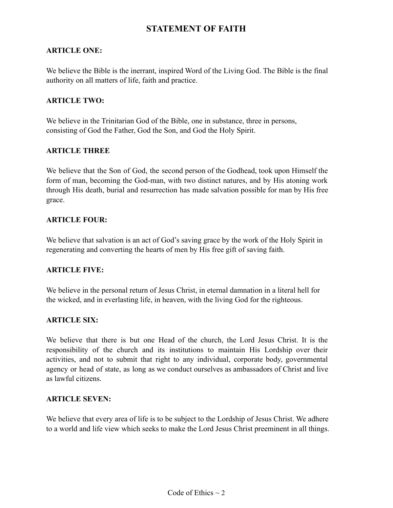#### **STATEMENT OF FAITH**

#### **ARTICLE ONE:**

We believe the Bible is the inerrant, inspired Word of the Living God. The Bible is the final authority on all matters of life, faith and practice.

#### **ARTICLE TWO:**

We believe in the Trinitarian God of the Bible, one in substance, three in persons, consisting of God the Father, God the Son, and God the Holy Spirit.

#### **ARTICLE THREE**

We believe that the Son of God, the second person of the Godhead, took upon Himself the form of man, becoming the God-man, with two distinct natures, and by His atoning work through His death, burial and resurrection has made salvation possible for man by His free grace.

#### **ARTICLE FOUR:**

We believe that salvation is an act of God's saving grace by the work of the Holy Spirit in regenerating and converting the hearts of men by His free gift of saving faith.

#### **ARTICLE FIVE:**

We believe in the personal return of Jesus Christ, in eternal damnation in a literal hell for the wicked, and in everlasting life, in heaven, with the living God for the righteous.

#### **ARTICLE SIX:**

We believe that there is but one Head of the church, the Lord Jesus Christ. It is the responsibility of the church and its institutions to maintain His Lordship over their activities, and not to submit that right to any individual, corporate body, governmental agency or head of state, as long as we conduct ourselves as ambassadors of Christ and live as lawful citizens.

#### **ARTICLE SEVEN:**

We believe that every area of life is to be subject to the Lordship of Jesus Christ. We adhere to a world and life view which seeks to make the Lord Jesus Christ preeminent in all things.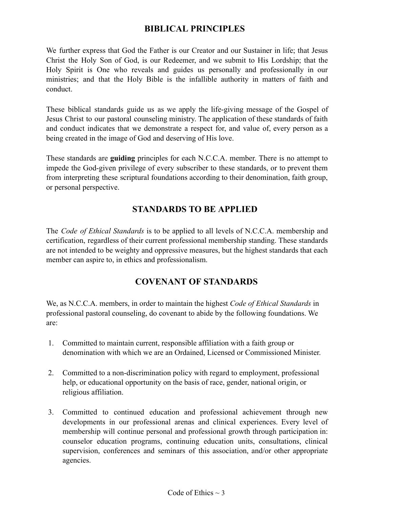### **BIBLICAL PRINCIPLES**

We further express that God the Father is our Creator and our Sustainer in life; that Jesus Christ the Holy Son of God, is our Redeemer, and we submit to His Lordship; that the Holy Spirit is One who reveals and guides us personally and professionally in our ministries; and that the Holy Bible is the infallible authority in matters of faith and conduct.

These biblical standards guide us as we apply the life-giving message of the Gospel of Jesus Christ to our pastoral counseling ministry. The application of these standards of faith and conduct indicates that we demonstrate a respect for, and value of, every person as a being created in the image of God and deserving of His love.

These standards are **guiding** principles for each N.C.C.A. member. There is no attempt to impede the God-given privilege of every subscriber to these standards, or to prevent them from interpreting these scriptural foundations according to their denomination, faith group, or personal perspective.

# **STANDARDS TO BE APPLIED**

The *Code of Ethical Standards* is to be applied to all levels of N.C.C.A. membership and certification, regardless of their current professional membership standing. These standards are not intended to be weighty and oppressive measures, but the highest standards that each member can aspire to, in ethics and professionalism.

#### **COVENANT OF STANDARDS**

We, as N.C.C.A. members, in order to maintain the highest *Code of Ethical Standards* in professional pastoral counseling, do covenant to abide by the following foundations. We are:

- 1. Committed to maintain current, responsible affiliation with a faith group or denomination with which we are an Ordained, Licensed or Commissioned Minister.
- 2. Committed to a non-discrimination policy with regard to employment, professional help, or educational opportunity on the basis of race, gender, national origin, or religious affiliation.
- 3. Committed to continued education and professional achievement through new developments in our professional arenas and clinical experiences. Every level of membership will continue personal and professional growth through participation in: counselor education programs, continuing education units, consultations, clinical supervision, conferences and seminars of this association, and/or other appropriate agencies.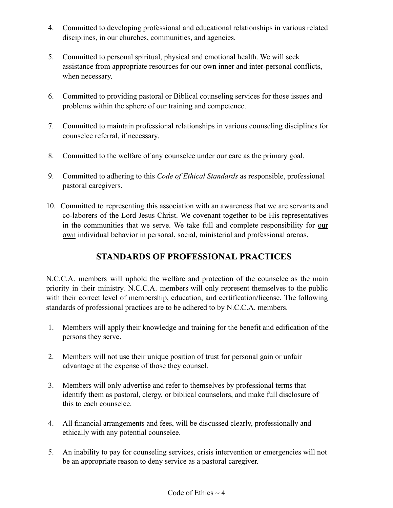- 4. Committed to developing professional and educational relationships in various related disciplines, in our churches, communities, and agencies.
- 5. Committed to personal spiritual, physical and emotional health. We will seek assistance from appropriate resources for our own inner and inter-personal conflicts, when necessary.
- 6. Committed to providing pastoral or Biblical counseling services for those issues and problems within the sphere of our training and competence.
- 7. Committed to maintain professional relationships in various counseling disciplines for counselee referral, if necessary.
- 8. Committed to the welfare of any counselee under our care as the primary goal.
- 9. Committed to adhering to this *Code of Ethical Standards* as responsible, professional pastoral caregivers.
- 10. Committed to representing this association with an awareness that we are servants and co-laborers of the Lord Jesus Christ. We covenant together to be His representatives in the communities that we serve. We take full and complete responsibility for our own individual behavior in personal, social, ministerial and professional arenas.

# **STANDARDS OF PROFESSIONAL PRACTICES**

N.C.C.A. members will uphold the welfare and protection of the counselee as the main priority in their ministry. N.C.C.A. members will only represent themselves to the public with their correct level of membership, education, and certification/license. The following standards of professional practices are to be adhered to by N.C.C.A. members.

- 1. Members will apply their knowledge and training for the benefit and edification of the persons they serve.
- 2. Members will not use their unique position of trust for personal gain or unfair advantage at the expense of those they counsel.
- 3. Members will only advertise and refer to themselves by professional terms that identify them as pastoral, clergy, or biblical counselors, and make full disclosure of this to each counselee.
- 4. All financial arrangements and fees, will be discussed clearly, professionally and ethically with any potential counselee.
- 5. An inability to pay for counseling services, crisis intervention or emergencies will not be an appropriate reason to deny service as a pastoral caregiver.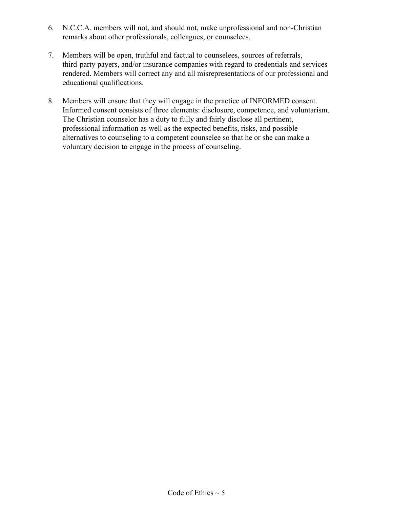- 6. N.C.C.A. members will not, and should not, make unprofessional and non-Christian remarks about other professionals, colleagues, or counselees.
- 7. Members will be open, truthful and factual to counselees, sources of referrals, third-party payers, and/or insurance companies with regard to credentials and services rendered. Members will correct any and all misrepresentations of our professional and educational qualifications.
- 8. Members will ensure that they will engage in the practice of INFORMED consent. Informed consent consists of three elements: disclosure, competence, and voluntarism. The Christian counselor has a duty to fully and fairly disclose all pertinent, professional information as well as the expected benefits, risks, and possible alternatives to counseling to a competent counselee so that he or she can make a voluntary decision to engage in the process of counseling.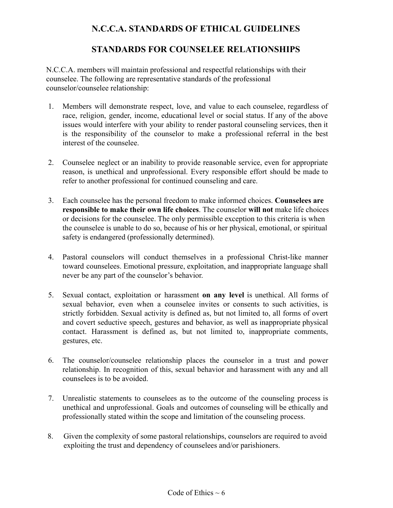### **N.C.C.A. STANDARDS OF ETHICAL GUIDELINES**

#### **STANDARDS FOR COUNSELEE RELATIONSHIPS**

N.C.C.A. members will maintain professional and respectful relationships with their counselee. The following are representative standards of the professional counselor/counselee relationship:

- 1. Members will demonstrate respect, love, and value to each counselee, regardless of race, religion, gender, income, educational level or social status. If any of the above issues would interfere with your ability to render pastoral counseling services, then it is the responsibility of the counselor to make a professional referral in the best interest of the counselee.
- 2. Counselee neglect or an inability to provide reasonable service, even for appropriate reason, is unethical and unprofessional. Every responsible effort should be made to refer to another professional for continued counseling and care.
- 3. Each counselee has the personal freedom to make informed choices. **Counselees are responsible to make their own life choices**. The counselor **will not** make life choices or decisions for the counselee. The only permissible exception to this criteria is when the counselee is unable to do so, because of his or her physical, emotional, or spiritual safety is endangered (professionally determined).
- 4. Pastoral counselors will conduct themselves in a professional Christ-like manner toward counselees. Emotional pressure, exploitation, and inappropriate language shall never be any part of the counselor's behavior.
- 5. Sexual contact, exploitation or harassment **on any level** is unethical. All forms of sexual behavior, even when a counselee invites or consents to such activities, is strictly forbidden. Sexual activity is defined as, but not limited to, all forms of overt and covert seductive speech, gestures and behavior, as well as inappropriate physical contact. Harassment is defined as, but not limited to, inappropriate comments, gestures, etc.
- 6. The counselor/counselee relationship places the counselor in a trust and power relationship. In recognition of this, sexual behavior and harassment with any and all counselees is to be avoided.
- 7. Unrealistic statements to counselees as to the outcome of the counseling process is unethical and unprofessional. Goals and outcomes of counseling will be ethically and professionally stated within the scope and limitation of the counseling process.
- 8. Given the complexity of some pastoral relationships, counselors are required to avoid exploiting the trust and dependency of counselees and/or parishioners.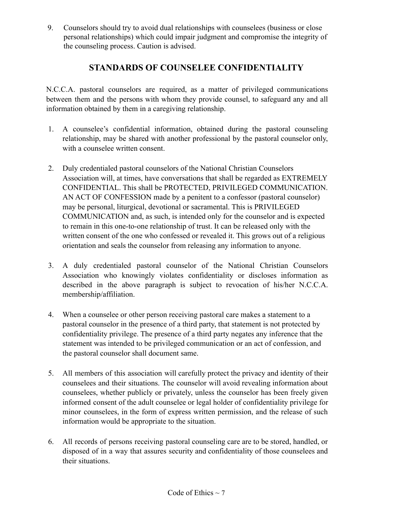9. Counselors should try to avoid dual relationships with counselees (business or close personal relationships) which could impair judgment and compromise the integrity of the counseling process. Caution is advised.

# **STANDARDS OF COUNSELEE CONFIDENTIALITY**

N.C.C.A. pastoral counselors are required, as a matter of privileged communications between them and the persons with whom they provide counsel, to safeguard any and all information obtained by them in a caregiving relationship.

- 1. A counselee's confidential information, obtained during the pastoral counseling relationship, may be shared with another professional by the pastoral counselor only, with a counselee written consent.
- 2. Duly credentialed pastoral counselors of the National Christian Counselors Association will, at times, have conversations that shall be regarded as EXTREMELY CONFIDENTIAL. This shall be PROTECTED, PRIVILEGED COMMUNICATION. AN ACT OF CONFESSION made by a penitent to a confessor (pastoral counselor) may be personal, liturgical, devotional or sacramental. This is PRIVILEGED COMMUNICATION and, as such, is intended only for the counselor and is expected to remain in this one-to-one relationship of trust. It can be released only with the written consent of the one who confessed or revealed it. This grows out of a religious orientation and seals the counselor from releasing any information to anyone.
- 3. A duly credentialed pastoral counselor of the National Christian Counselors Association who knowingly violates confidentiality or discloses information as described in the above paragraph is subject to revocation of his/her N.C.C.A. membership/affiliation.
- 4. When a counselee or other person receiving pastoral care makes a statement to a pastoral counselor in the presence of a third party, that statement is not protected by confidentiality privilege. The presence of a third party negates any inference that the statement was intended to be privileged communication or an act of confession, and the pastoral counselor shall document same.
- 5. All members of this association will carefully protect the privacy and identity of their counselees and their situations. The counselor will avoid revealing information about counselees, whether publicly or privately, unless the counselor has been freely given informed consent of the adult counselee or legal holder of confidentiality privilege for minor counselees, in the form of express written permission, and the release of such information would be appropriate to the situation.
- 6. All records of persons receiving pastoral counseling care are to be stored, handled, or disposed of in a way that assures security and confidentiality of those counselees and their situations.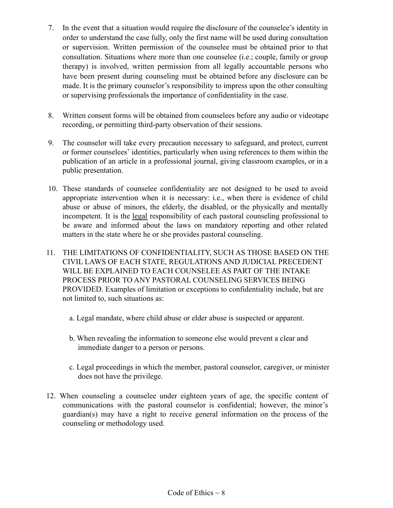- 7. In the event that a situation would require the disclosure of the counselee's identity in order to understand the case fully, only the first name will be used during consultation or supervision. Written permission of the counselee must be obtained prior to that consultation. Situations where more than one counselee (i.e.; couple, family or group therapy) is involved, written permission from all legally accountable persons who have been present during counseling must be obtained before any disclosure can be made. It is the primary counselor's responsibility to impress upon the other consulting or supervising professionals the importance of confidentiality in the case.
- 8. Written consent forms will be obtained from counselees before any audio or videotape recording, or permitting third-party observation of their sessions.
- 9. The counselor will take every precaution necessary to safeguard, and protect, current or former counselees' identities, particularly when using references to them within the publication of an article in a professional journal, giving classroom examples, or in a public presentation.
- 10. These standards of counselee confidentiality are not designed to be used to avoid appropriate intervention when it is necessary: i.e., when there is evidence of child abuse or abuse of minors, the elderly, the disabled, or the physically and mentally incompetent. It is the legal responsibility of each pastoral counseling professional to be aware and informed about the laws on mandatory reporting and other related matters in the state where he or she provides pastoral counseling.
- 11. THE LIMITATIONS OF CONFIDENTIALITY, SUCH AS THOSE BASED ON THE CIVIL LAWS OF EACH STATE, REGULATIONS AND JUDICIAL PRECEDENT WILL BE EXPLAINED TO EACH COUNSELEE AS PART OF THE INTAKE PROCESS PRIOR TO ANY PASTORAL COUNSELING SERVICES BEING PROVIDED. Examples of limitation or exceptions to confidentiality include, but are not limited to, such situations as:
	- a. Legal mandate, where child abuse or elder abuse is suspected or apparent.
	- b. When revealing the information to someone else would prevent a clear and immediate danger to a person or persons.
	- c. Legal proceedings in which the member, pastoral counselor, caregiver, or minister does not have the privilege.
- 12. When counseling a counselee under eighteen years of age, the specific content of communications with the pastoral counselor is confidential; however, the minor's guardian(s) may have a right to receive general information on the process of the counseling or methodology used.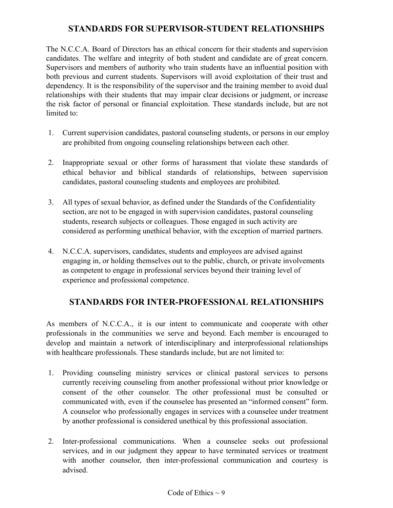#### **STANDARDS FOR SUPERVISOR-STUDENT RELATIONSHIPS**

The N.C.C.A. Board of Directors has an ethical concern for their students and supervision candidates. The welfare and integrity of both student and candidate are of great concern. Supervisors and members of authority who train students have an influential position with both previous and current students. Supervisors will avoid exploitation of their trust and dependency. It is the responsibility of the supervisor and the training member to avoid dual relationships with their students that may impair clear decisions or judgment, or increase the risk factor of personal or financial exploitation. These standards include, but are not limited to:

- 1. Current supervision candidates, pastoral counseling students, or persons in our employ are prohibited from ongoing counseling relationships between each other.
- 2. Inappropriate sexual or other forms of harassment that violate these standards of ethical behavior and biblical standards of relationships, between supervision candidates, pastoral counseling students and employees are prohibited.
- 3. All types of sexual behavior, as defined under the Standards of the Confidentiality section, are not to be engaged in with supervision candidates, pastoral counseling students, research subjects or colleagues. Those engaged in such activity are considered as performing unethical behavior, with the exception of married partners.
- 4. N.C.C.A. supervisors, candidates, students and employees are advised against engaging in, or holding themselves out to the public, church, or private involvements as competent to engage in professional services beyond their training level of experience and professional competence.

### **STANDARDS FOR INTER-PROFESSIONAL RELATIONSHIPS**

As members of N.C.C.A., it is our intent to communicate and cooperate with other professionals in the communities we serve and beyond. Each member is encouraged to develop and maintain a network of interdisciplinary and interprofessional relationships with healthcare professionals. These standards include, but are not limited to:

- 1. Providing counseling ministry services or clinical pastoral services to persons currently receiving counseling from another professional without prior knowledge or consent of the other counselor. The other professional must be consulted or communicated with, even if the counselee has presented an "informed consent" form. A counselor who professionally engages in services with a counselee under treatment by another professional is considered unethical by this professional association.
- 2. Inter-professional communications. When a counselee seeks out professional services, and in our judgment they appear to have terminated services or treatment with another counselor, then inter-professional communication and courtesy is advised.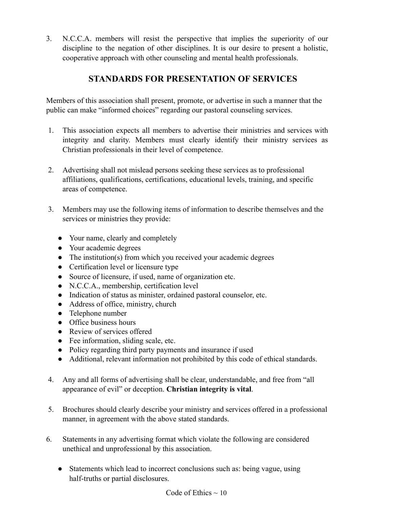3. N.C.C.A. members will resist the perspective that implies the superiority of our discipline to the negation of other disciplines. It is our desire to present a holistic, cooperative approach with other counseling and mental health professionals.

# **STANDARDS FOR PRESENTATION OF SERVICES**

Members of this association shall present, promote, or advertise in such a manner that the public can make "informed choices" regarding our pastoral counseling services.

- 1. This association expects all members to advertise their ministries and services with integrity and clarity. Members must clearly identify their ministry services as Christian professionals in their level of competence.
- 2. Advertising shall not mislead persons seeking these services as to professional affiliations, qualifications, certifications, educational levels, training, and specific areas of competence.
- 3. Members may use the following items of information to describe themselves and the services or ministries they provide:
	- Your name, clearly and completely
	- Your academic degrees
	- The institution(s) from which you received your academic degrees
	- Certification level or licensure type
	- Source of licensure, if used, name of organization etc.
	- N.C.C.A., membership, certification level
	- Indication of status as minister, ordained pastoral counselor, etc.
	- Address of office, ministry, church
	- Telephone number
	- Office business hours
	- Review of services offered
	- Fee information, sliding scale, etc.
	- Policy regarding third party payments and insurance if used
	- Additional, relevant information not prohibited by this code of ethical standards.
- 4. Any and all forms of advertising shall be clear, understandable, and free from "all appearance of evil" or deception. **Christian integrity is vital**.
- 5. Brochures should clearly describe your ministry and services offered in a professional manner, in agreement with the above stated standards.
- 6. Statements in any advertising format which violate the following are considered unethical and unprofessional by this association.
	- Statements which lead to incorrect conclusions such as: being vague, using half-truths or partial disclosures.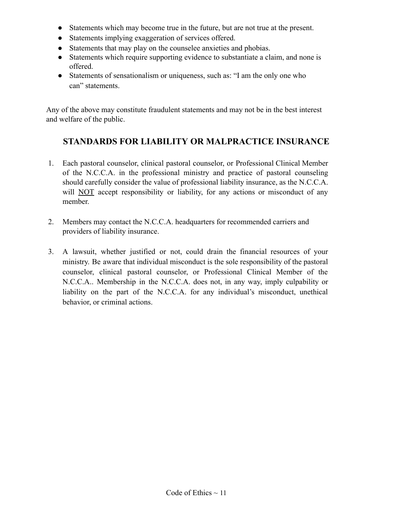- Statements which may become true in the future, but are not true at the present.
- Statements implying exaggeration of services offered.
- Statements that may play on the counselee anxieties and phobias.
- Statements which require supporting evidence to substantiate a claim, and none is offered.
- Statements of sensationalism or uniqueness, such as: "I am the only one who can" statements.

Any of the above may constitute fraudulent statements and may not be in the best interest and welfare of the public.

### **STANDARDS FOR LIABILITY OR MALPRACTICE INSURANCE**

- 1. Each pastoral counselor, clinical pastoral counselor, or Professional Clinical Member of the N.C.C.A. in the professional ministry and practice of pastoral counseling should carefully consider the value of professional liability insurance, as the N.C.C.A. will NOT accept responsibility or liability, for any actions or misconduct of any member.
- 2. Members may contact the N.C.C.A. headquarters for recommended carriers and providers of liability insurance.
- 3. A lawsuit, whether justified or not, could drain the financial resources of your ministry. Be aware that individual misconduct is the sole responsibility of the pastoral counselor, clinical pastoral counselor, or Professional Clinical Member of the N.C.C.A.. Membership in the N.C.C.A. does not, in any way, imply culpability or liability on the part of the N.C.C.A. for any individual's misconduct, unethical behavior, or criminal actions.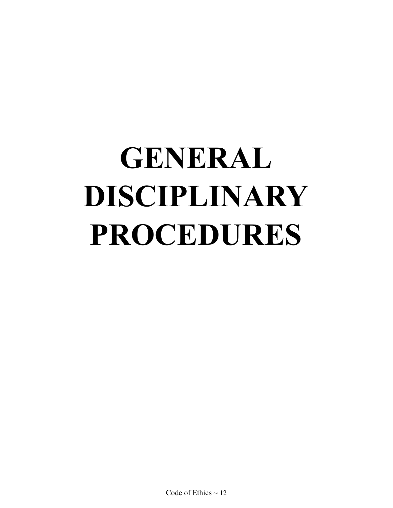# **GENERAL DISCIPLINARY PROCEDURES**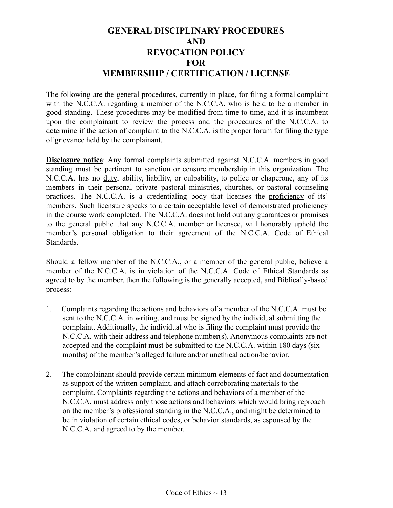### **GENERAL DISCIPLINARY PROCEDURES AND REVOCATION POLICY FOR MEMBERSHIP / CERTIFICATION / LICENSE**

The following are the general procedures, currently in place, for filing a formal complaint with the N.C.C.A. regarding a member of the N.C.C.A. who is held to be a member in good standing. These procedures may be modified from time to time, and it is incumbent upon the complainant to review the process and the procedures of the N.C.C.A. to determine if the action of complaint to the N.C.C.A. is the proper forum for filing the type of grievance held by the complainant.

**Disclosure notice**: Any formal complaints submitted against N.C.C.A. members in good standing must be pertinent to sanction or censure membership in this organization. The N.C.C.A. has no duty, ability, liability, or culpability, to police or chaperone, any of its members in their personal private pastoral ministries, churches, or pastoral counseling practices. The N.C.C.A. is a credentialing body that licenses the proficiency of its' members. Such licensure speaks to a certain acceptable level of demonstrated proficiency in the course work completed. The N.C.C.A. does not hold out any guarantees or promises to the general public that any N.C.C.A. member or licensee, will honorably uphold the member's personal obligation to their agreement of the N.C.C.A. Code of Ethical **Standards** 

Should a fellow member of the N.C.C.A., or a member of the general public, believe a member of the N.C.C.A. is in violation of the N.C.C.A. Code of Ethical Standards as agreed to by the member, then the following is the generally accepted, and Biblically-based process:

- 1. Complaints regarding the actions and behaviors of a member of the N.C.C.A. must be sent to the N.C.C.A. in writing, and must be signed by the individual submitting the complaint. Additionally, the individual who is filing the complaint must provide the N.C.C.A. with their address and telephone number(s). Anonymous complaints are not accepted and the complaint must be submitted to the N.C.C.A. within 180 days (six months) of the member's alleged failure and/or unethical action/behavior.
- 2. The complainant should provide certain minimum elements of fact and documentation as support of the written complaint, and attach corroborating materials to the complaint. Complaints regarding the actions and behaviors of a member of the N.C.C.A. must address only those actions and behaviors which would bring reproach on the member's professional standing in the N.C.C.A., and might be determined to be in violation of certain ethical codes, or behavior standards, as espoused by the N.C.C.A. and agreed to by the member.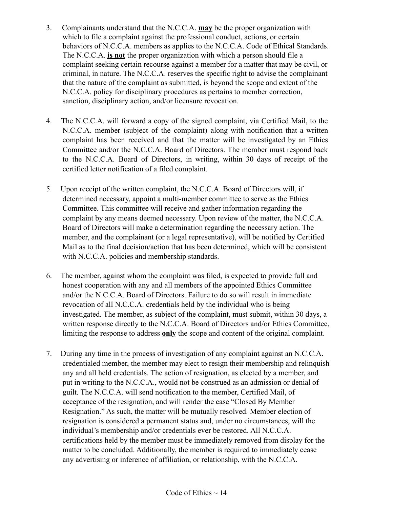- 3. Complainants understand that the N.C.C.A. **may** be the proper organization with which to file a complaint against the professional conduct, actions, or certain behaviors of N.C.C.A. members as applies to the N.C.C.A. Code of Ethical Standards. The N.C.C.A. **is not** the proper organization with which a person should file a complaint seeking certain recourse against a member for a matter that may be civil, or criminal, in nature. The N.C.C.A. reserves the specific right to advise the complainant that the nature of the complaint as submitted, is beyond the scope and extent of the N.C.C.A. policy for disciplinary procedures as pertains to member correction, sanction, disciplinary action, and/or licensure revocation.
- 4. The N.C.C.A. will forward a copy of the signed complaint, via Certified Mail, to the N.C.C.A. member (subject of the complaint) along with notification that a written complaint has been received and that the matter will be investigated by an Ethics Committee and/or the N.C.C.A. Board of Directors. The member must respond back to the N.C.C.A. Board of Directors, in writing, within 30 days of receipt of the certified letter notification of a filed complaint.
- 5. Upon receipt of the written complaint, the N.C.C.A. Board of Directors will, if determined necessary, appoint a multi-member committee to serve as the Ethics Committee. This committee will receive and gather information regarding the complaint by any means deemed necessary. Upon review of the matter, the N.C.C.A. Board of Directors will make a determination regarding the necessary action. The member, and the complainant (or a legal representative), will be notified by Certified Mail as to the final decision/action that has been determined, which will be consistent with N.C.C.A. policies and membership standards.
- 6. The member, against whom the complaint was filed, is expected to provide full and honest cooperation with any and all members of the appointed Ethics Committee and/or the N.C.C.A. Board of Directors. Failure to do so will result in immediate revocation of all N.C.C.A. credentials held by the individual who is being investigated. The member, as subject of the complaint, must submit, within 30 days, a written response directly to the N.C.C.A. Board of Directors and/or Ethics Committee, limiting the response to address **only** the scope and content of the original complaint.
- 7. During any time in the process of investigation of any complaint against an N.C.C.A. credentialed member, the member may elect to resign their membership and relinquish any and all held credentials. The action of resignation, as elected by a member, and put in writing to the N.C.C.A., would not be construed as an admission or denial of guilt. The N.C.C.A. will send notification to the member, Certified Mail, of acceptance of the resignation, and will render the case "Closed By Member Resignation." As such, the matter will be mutually resolved. Member election of resignation is considered a permanent status and, under no circumstances, will the individual's membership and/or credentials ever be restored. All N.C.C.A. certifications held by the member must be immediately removed from display for the matter to be concluded. Additionally, the member is required to immediately cease any advertising or inference of affiliation, or relationship, with the N.C.C.A.